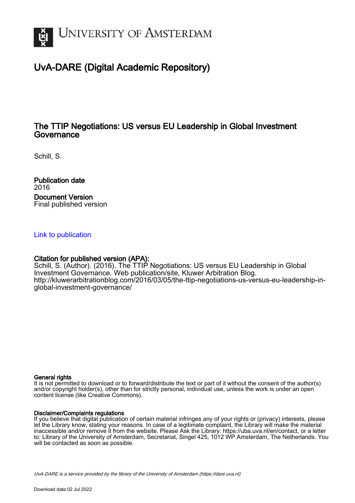

# UvA-DARE (Digital Academic Repository)

## The TTIP Negotiations: US versus EU Leadership in Global Investment Governance

Schill, S.

Publication date 2016 Document Version Final published version

#### [Link to publication](https://dare.uva.nl/personal/pure/en/publications/the-ttip-negotiations-us-versus-eu-leadership-in-global-investment-governance(e5256ac7-0a39-476d-8a4e-4f3393ce5e6c).html)

#### Citation for published version (APA):

Schill, S. (Author). (2016). The TTIP Negotiations: US versus EU Leadership in Global Investment Governance. Web publication/site, Kluwer Arbitration Blog. [http://kluwerarbitrationblog.com/2016/03/05/the-ttip-negotiations-us-versus-eu-leadership-in](http://kluwerarbitrationblog.com/2016/03/05/the-ttip-negotiations-us-versus-eu-leadership-in-global-investment-governance/)[global-investment-governance/](http://kluwerarbitrationblog.com/2016/03/05/the-ttip-negotiations-us-versus-eu-leadership-in-global-investment-governance/)

#### General rights

It is not permitted to download or to forward/distribute the text or part of it without the consent of the author(s) and/or copyright holder(s), other than for strictly personal, individual use, unless the work is under an open content license (like Creative Commons).

#### Disclaimer/Complaints regulations

If you believe that digital publication of certain material infringes any of your rights or (privacy) interests, please let the Library know, stating your reasons. In case of a legitimate complaint, the Library will make the material inaccessible and/or remove it from the website. Please Ask the Library: https://uba.uva.nl/en/contact, or a letter to: Library of the University of Amsterdam, Secretariat, Singel 425, 1012 WP Amsterdam, The Netherlands. You will be contacted as soon as possible.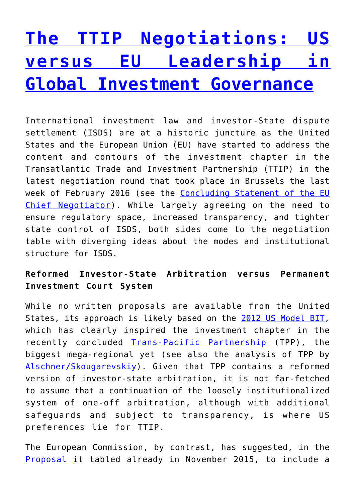# **[The TTIP Negotiations: US](http://kluwerarbitrationblog.com/2016/03/05/the-ttip-negotiations-us-versus-eu-leadership-in-global-investment-governance/) [versus EU Leadership in](http://kluwerarbitrationblog.com/2016/03/05/the-ttip-negotiations-us-versus-eu-leadership-in-global-investment-governance/) [Global Investment Governance](http://kluwerarbitrationblog.com/2016/03/05/the-ttip-negotiations-us-versus-eu-leadership-in-global-investment-governance/)**

International investment law and investor-State dispute settlement (ISDS) are at a historic juncture as the United States and the European Union (EU) have started to address the content and contours of the investment chapter in the Transatlantic Trade and Investment Partnership (TTIP) in the latest negotiation round that took place in Brussels the last week of February 2016 (see the [Concluding Statement of the EU](http://trade.ec.europa.eu/doclib/docs/2016/february/tradoc_154325.pdf) [Chief Negotiator\)](http://trade.ec.europa.eu/doclib/docs/2016/february/tradoc_154325.pdf). While largely agreeing on the need to ensure regulatory space, increased transparency, and tighter state control of ISDS, both sides come to the negotiation table with diverging ideas about the modes and institutional structure for ISDS.

## **Reformed Investor-State Arbitration versus Permanent Investment Court System**

While no written proposals are available from the United States, its approach is likely based on the [2012 US Model BIT,](http://www.state.gov/e/eb/ifd/bit/) which has clearly inspired the investment chapter in the recently concluded [Trans-Pacific Partnership](https://ustr.gov/trade-agreements/free-trade-agreements/trans-pacific-partnership/TPP-Full-Text) (TPP), the biggest mega-regional yet (see also the analysis of TPP by [Alschner/Skougarevskiy](http://graduateinstitute.ch/files/live/sites/iheid/files/sites/ctei/shared/CTEI/working_papers/CTEI 2015-8 Alschner_Skougarevskiy_TPP.pdf)). Given that TPP contains a reformed version of investor-state arbitration, it is not far-fetched to assume that a continuation of the loosely institutionalized system of one-off arbitration, although with additional safeguards and subject to transparency, is where US preferences lie for TTIP.

The European Commission, by contrast, has suggested, in the [Proposal i](http://trade.ec.europa.eu/doclib/docs/2015/november/tradoc_153955.pdf)t tabled already in November 2015, to include a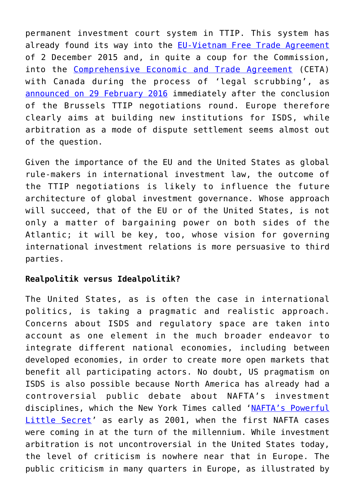permanent investment court system in TTIP. This system has already found its way into the [EU-Vietnam Free Trade Agreement](http://trade.ec.europa.eu/doclib/press/index.cfm?id=1409) of 2 December 2015 and, in quite a coup for the Commission, into the [Comprehensive Economic and Trade Agreement](http://trade.ec.europa.eu/doclib/docs/2016/february/tradoc_154329.pdf) (CETA) with Canada during the process of 'legal scrubbing', as [announced on 29 February 2016](http://europa.eu/rapid/press-release_IP-16-399_en.htm) immediately after the conclusion of the Brussels TTIP negotiations round. Europe therefore clearly aims at building new institutions for ISDS, while arbitration as a mode of dispute settlement seems almost out of the question.

Given the importance of the EU and the United States as global rule-makers in international investment law, the outcome of the TTIP negotiations is likely to influence the future architecture of global investment governance. Whose approach will succeed, that of the EU or of the United States, is not only a matter of bargaining power on both sides of the Atlantic; it will be key, too, whose vision for governing international investment relations is more persuasive to third parties.

## **Realpolitik versus Idealpolitik?**

The United States, as is often the case in international politics, is taking a pragmatic and realistic approach. Concerns about ISDS and regulatory space are taken into account as one element in the much broader endeavor to integrate different national economies, including between developed economies, in order to create more open markets that benefit all participating actors. No doubt, US pragmatism on ISDS is also possible because North America has already had a controversial public debate about NAFTA's investment disciplines, which the New York Times called ['NAFTA's Powerful](http://www.nytimes.com/2001/03/11/business/11TRIB.html) [Little Secret](http://www.nytimes.com/2001/03/11/business/11TRIB.html)' as early as 2001, when the first NAFTA cases were coming in at the turn of the millennium. While investment arbitration is not uncontroversial in the United States today, the level of criticism is nowhere near that in Europe. The public criticism in many quarters in Europe, as illustrated by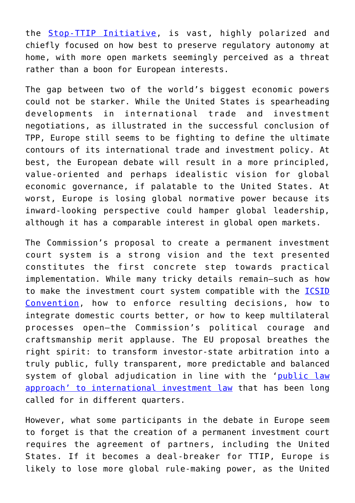the [Stop-TTIP Initiative,](https://stop-ttip.org/) is vast, highly polarized and chiefly focused on how best to preserve regulatory autonomy at home, with more open markets seemingly perceived as a threat rather than a boon for European interests.

The gap between two of the world's biggest economic powers could not be starker. While the United States is spearheading developments in international trade and investment negotiations, as illustrated in the successful conclusion of TPP, Europe still seems to be fighting to define the ultimate contours of its international trade and investment policy. At best, the European debate will result in a more principled, value-oriented and perhaps idealistic vision for global economic governance, if palatable to the United States. At worst, Europe is losing global normative power because its inward-looking perspective could hamper global leadership, although it has a comparable interest in global open markets.

The Commission's proposal to create a permanent investment court system is a strong vision and the text presented constitutes the first concrete step towards practical implementation. While many tricky details remain—such as how to make the investment court system compatible with the [ICSID](https://icsid.worldbank.org/ICSID/StaticFiles/basicdoc/CRR_English-final.pdf) [Convention](https://icsid.worldbank.org/ICSID/StaticFiles/basicdoc/CRR_English-final.pdf), how to enforce resulting decisions, how to integrate domestic courts better, or how to keep multilateral processes open—the Commission's political courage and craftsmanship merit applause. The EU proposal breathes the right spirit: to transform investor-state arbitration into a truly public, fully transparent, more predictable and balanced system of global adjudication in line with the '[public law](http://www.vjil.org/assets/pdfs/vol52/issue1/Schill_Final.pdf) [approach' to international investment law](http://www.vjil.org/assets/pdfs/vol52/issue1/Schill_Final.pdf) that has been long called for in different quarters.

However, what some participants in the debate in Europe seem to forget is that the creation of a permanent investment court requires the agreement of partners, including the United States. If it becomes a deal-breaker for TTIP, Europe is likely to lose more global rule-making power, as the United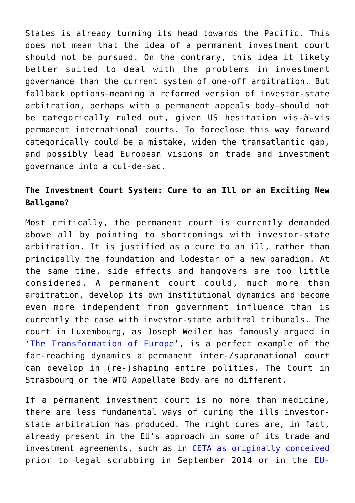States is already turning its head towards the Pacific. This does not mean that the idea of a permanent investment court should not be pursued. On the contrary, this idea it likely better suited to deal with the problems in investment governance than the current system of one-off arbitration. But fallback options—meaning a reformed version of investor-state arbitration, perhaps with a permanent appeals body—should not be categorically ruled out, given US hesitation vis-à-vis permanent international courts. To foreclose this way forward categorically could be a mistake, widen the transatlantic gap, and possibly lead European visions on trade and investment governance into a cul-de-sac.

# **The Investment Court System: Cure to an Ill or an Exciting New Ballgame?**

Most critically, the permanent court is currently demanded above all by pointing to shortcomings with investor-state arbitration. It is justified as a cure to an ill, rather than principally the foundation and lodestar of a new paradigm. At the same time, side effects and hangovers are too little considered. A permanent court could, much more than arbitration, develop its own institutional dynamics and become even more independent from government influence than is currently the case with investor-state arbitral tribunals. The court in Luxembourg, as Joseph Weiler has famously argued in '[The Transformation of Europe](http://www.fd.unl.pt/docentes_docs/ma/mpm_ma_6012.pdf)', is a perfect example of the far-reaching dynamics a permanent inter-/supranational court can develop in (re-)shaping entire polities. The Court in Strasbourg or the WTO Appellate Body are no different.

If a permanent investment court is no more than medicine, there are less fundamental ways of curing the ills investorstate arbitration has produced. The right cures are, in fact, already present in the EU's approach in some of its trade and investment agreements, such as in [CETA as originally conceived](http://trade.ec.europa.eu/doclib/docs/2014/september/tradoc_152806.pdf) prior to legal scrubbing in September 2014 or in the [EU-](http://trade.ec.europa.eu/doclib/press/index.cfm?id=961)